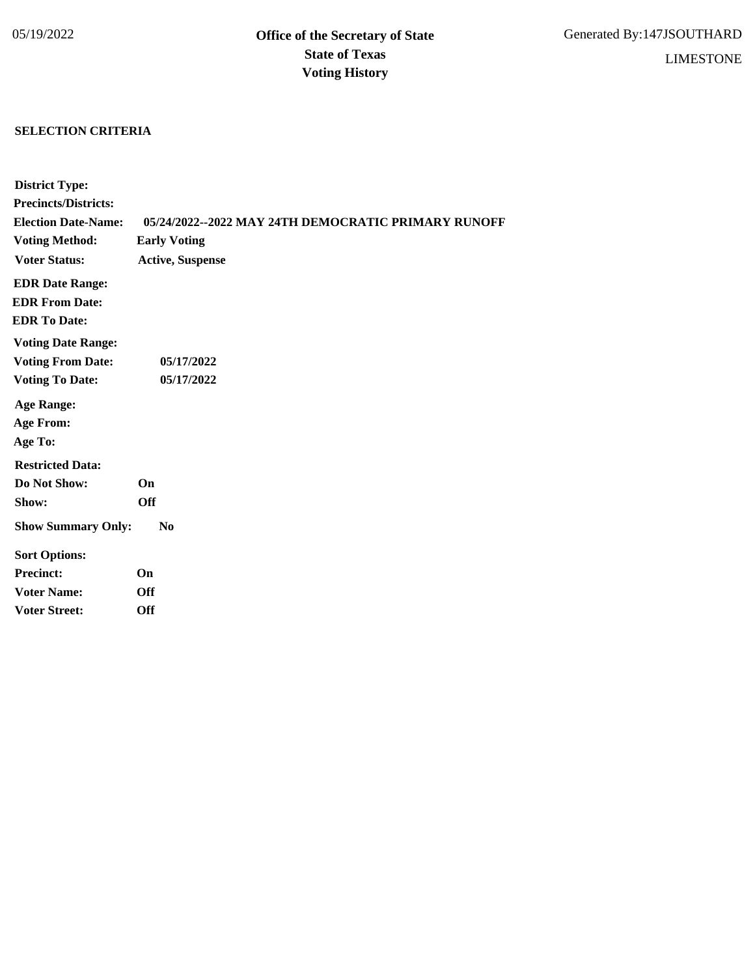## **SELECTION CRITERIA**

| <b>District Type:</b>       |                                                     |
|-----------------------------|-----------------------------------------------------|
| <b>Precincts/Districts:</b> |                                                     |
| <b>Election Date-Name:</b>  | 05/24/2022--2022 MAY 24TH DEMOCRATIC PRIMARY RUNOFF |
| <b>Voting Method:</b>       | <b>Early Voting</b>                                 |
| <b>Voter Status:</b>        | <b>Active, Suspense</b>                             |
| <b>EDR Date Range:</b>      |                                                     |
| <b>EDR From Date:</b>       |                                                     |
| <b>EDR</b> To Date:         |                                                     |
| <b>Voting Date Range:</b>   |                                                     |
| <b>Voting From Date:</b>    | 05/17/2022                                          |
| <b>Voting To Date:</b>      | 05/17/2022                                          |
| <b>Age Range:</b>           |                                                     |
| <b>Age From:</b>            |                                                     |
| Age To:                     |                                                     |
| <b>Restricted Data:</b>     |                                                     |
| Do Not Show:                | On                                                  |
| Show:                       | <b>Off</b>                                          |
| <b>Show Summary Only:</b>   | N <sub>0</sub>                                      |
| <b>Sort Options:</b>        |                                                     |
| <b>Precinct:</b>            | On                                                  |
| <b>Voter Name:</b>          | <b>Off</b>                                          |
| <b>Voter Street:</b>        | <b>Off</b>                                          |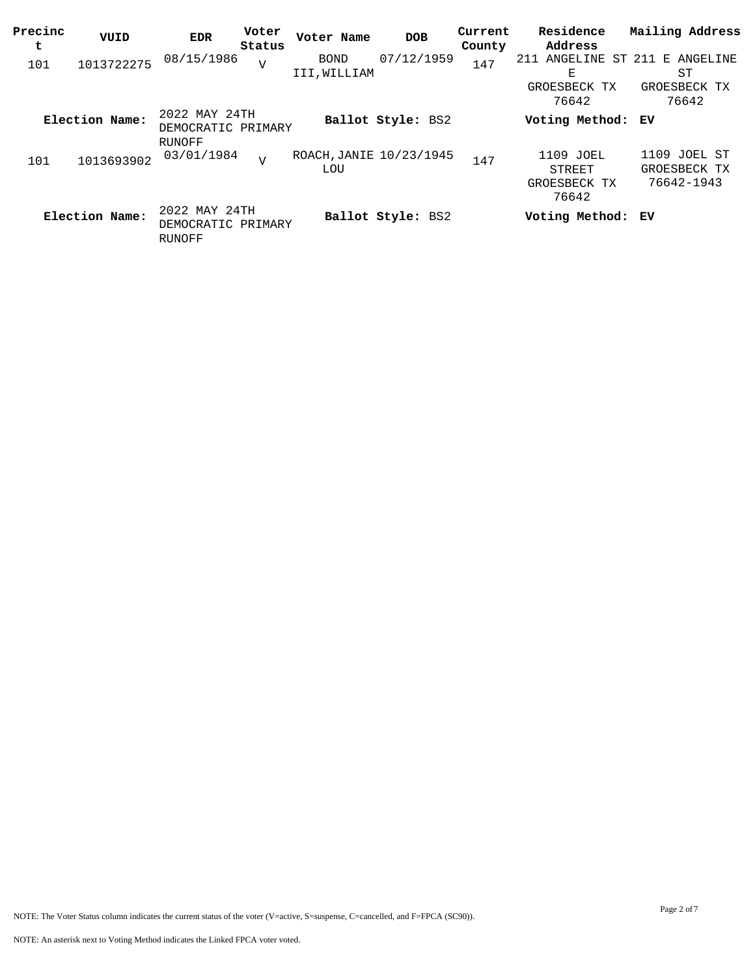| Precinc<br>t | VUID           | EDR                                           | Voter<br>Status | Voter Name                            | <b>DOB</b>        | Current<br>County | Residence<br>Address                          | Mailing Address                                  |
|--------------|----------------|-----------------------------------------------|-----------------|---------------------------------------|-------------------|-------------------|-----------------------------------------------|--------------------------------------------------|
| 101          | 1013722275     | 08/15/1986                                    | V               | <b>BOND</b><br>III, WILLIAM           | 07/12/1959        | 147               | ANGELINE<br>211<br>Е<br>GROESBECK TX<br>76642 | ST 211 E ANGELINE<br>ST<br>GROESBECK TX<br>76642 |
|              | Election Name: | 2022 MAY 24TH<br>DEMOCRATIC PRIMARY<br>RUNOFF |                 |                                       | Ballot Style: BS2 |                   | Voting Method: EV                             |                                                  |
| 101          | 1013693902     | 03/01/1984                                    | $\overline{V}$  | ROACH, JANIE 10/23/1945<br><b>LOU</b> |                   | 147               | 1109 JOEL<br>STREET<br>GROESBECK TX<br>76642  | 1109 JOEL ST<br>GROESBECK TX<br>76642-1943       |
|              | Election Name: | 2022 MAY 24TH<br>DEMOCRATIC PRIMARY<br>RUNOFF |                 |                                       | Ballot Style: BS2 |                   | Voting Method: EV                             |                                                  |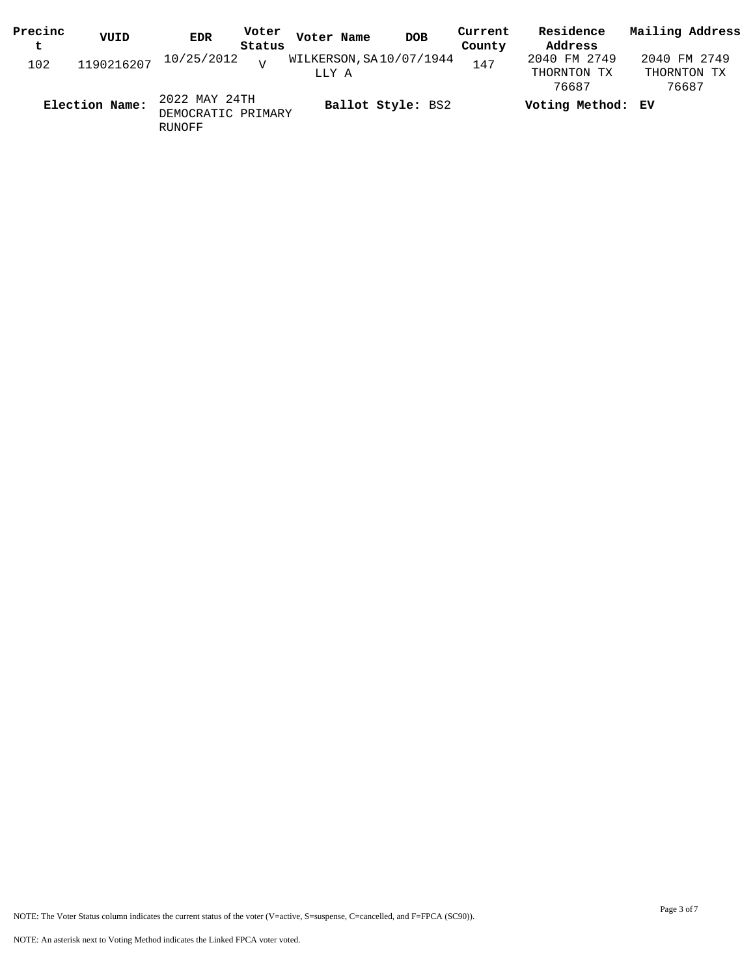| Precinc<br>$\mathbf t$ | VUID                  | <b>EDR</b>                          | Voter<br>Status | Voter Name | <b>DOB</b>              | Current<br>County | Residence<br>Address                 | Mailing Address                      |
|------------------------|-----------------------|-------------------------------------|-----------------|------------|-------------------------|-------------------|--------------------------------------|--------------------------------------|
| 102                    | 1190216207 10/25/2012 |                                     | $\overline{17}$ | LLY A      | WILKERSON, SA10/07/1944 | 147               | 2040 FM 2749<br>THORNTON TX<br>76687 | 2040 FM 2749<br>THORNTON TX<br>76687 |
|                        | Election Name:        | 2022 MAY 24TH<br>DEMOCRATIC PRIMARY |                 |            | Ballot Style: BS2       |                   | Voting Method: EV                    |                                      |

RUNOFF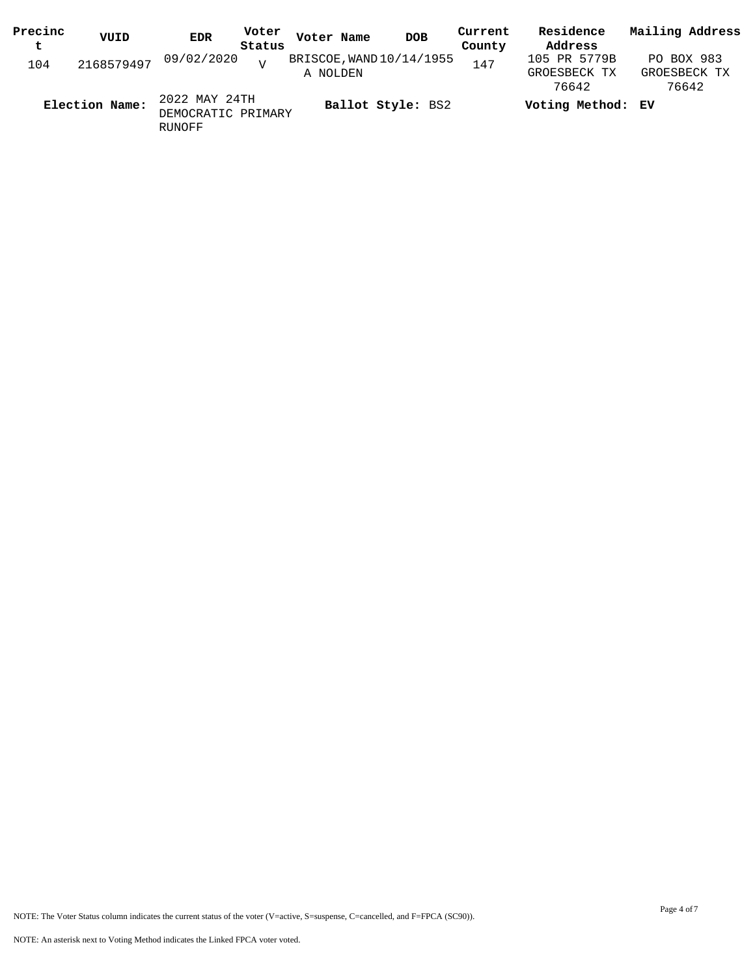| Precinc<br>t | VUID           | <b>EDR</b>                          | Voter<br>Status | Voter Name | <b>DOB</b>               | Current<br>County | Residence<br>Address                  | Mailing Address                     |
|--------------|----------------|-------------------------------------|-----------------|------------|--------------------------|-------------------|---------------------------------------|-------------------------------------|
| 104          |                | 2168579497 09/02/2020               | $\overline{17}$ | A NOLDEN   | BRISCOE, WAND 10/14/1955 | 147               | 105 PR 5779B<br>GROESBECK TX<br>76642 | PO BOX 983<br>GROESBECK TX<br>76642 |
|              | Election Name: | 2022 MAY 24TH<br>DEMOCRATIC PRIMARY |                 |            | Ballot Style: BS2        |                   | Voting Method: EV                     |                                     |

RUNOFF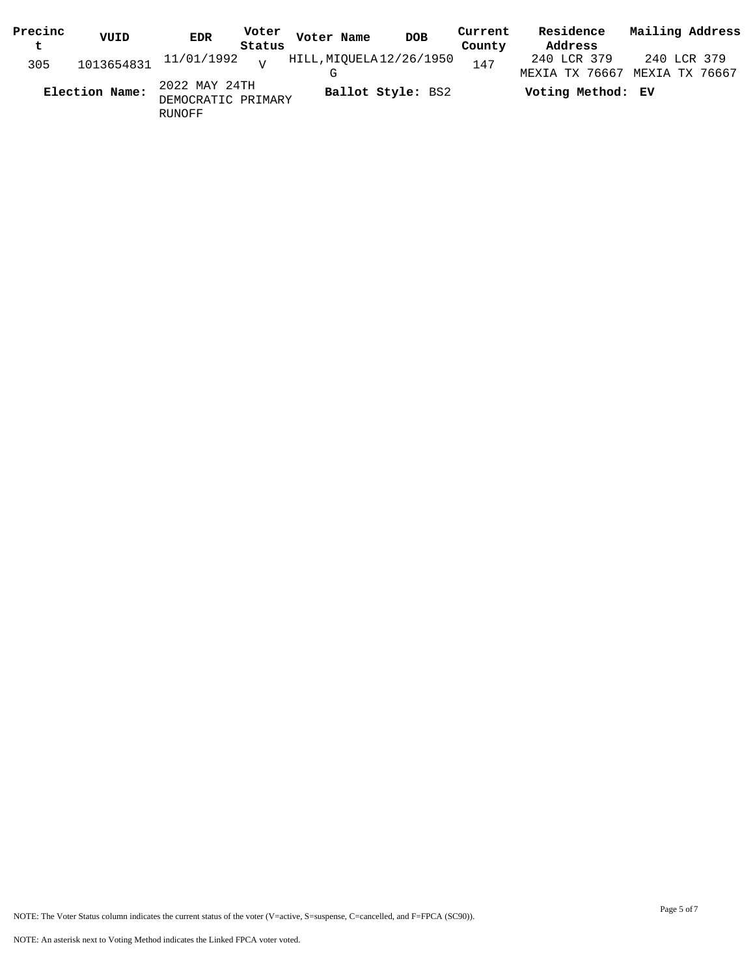| Precinc | VUID           | Voter<br>EDR                                  | Voter Name               | <b>DOB</b>        | Current | Residence                     | Mailing Address               |
|---------|----------------|-----------------------------------------------|--------------------------|-------------------|---------|-------------------------------|-------------------------------|
| t       |                | Status                                        |                          |                   | County  | Address                       |                               |
| 305     | 1013654831     | 11/01/1992 <sub>V</sub>                       | HILL, MIQUELA 12/26/1950 |                   | 147     | 240 LCR 379<br>MEXIA TX 76667 | 240 LCR 379<br>MEXIA TX 76667 |
|         | Election Name: | 2022 MAY 24TH<br>DEMOCRATIC PRIMARY<br>RUNOFF |                          | Ballot Style: BS2 |         | Voting Method: EV             |                               |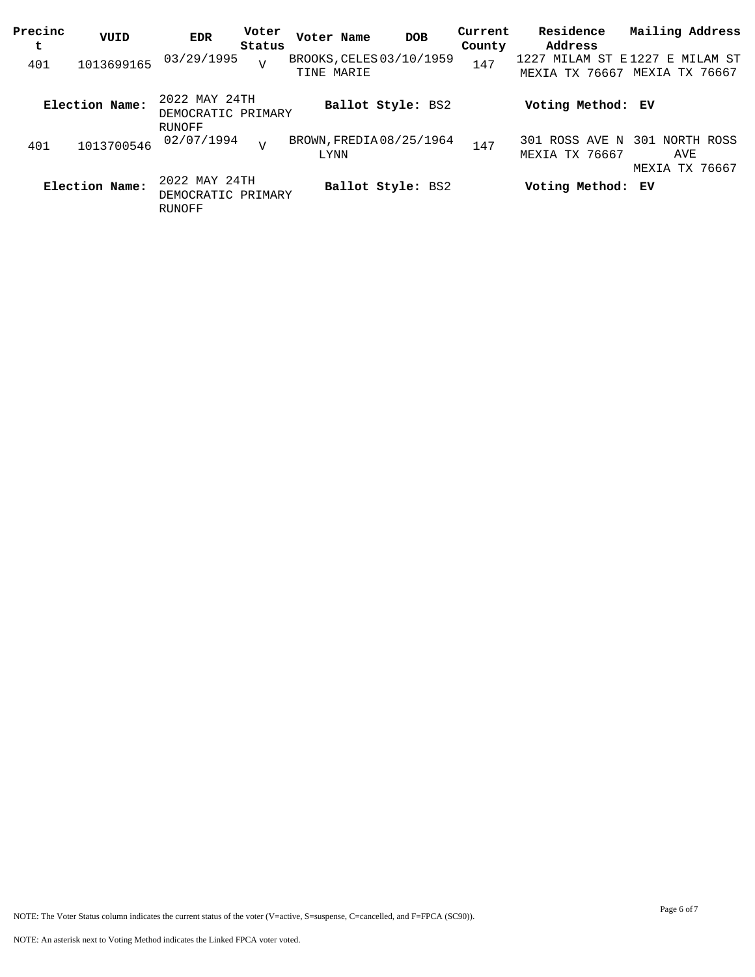| Precinc<br>t | VUID           | <b>EDR</b>                                    | Voter<br>Status | Voter Name | <b>DOB</b>               | Current<br>County | Residence<br>Address                             | Mailing Address       |
|--------------|----------------|-----------------------------------------------|-----------------|------------|--------------------------|-------------------|--------------------------------------------------|-----------------------|
| 401          | 1013699165     | 03/29/1995                                    | $\overline{V}$  | TINE MARIE | BROOKS, CELES 03/10/1959 | 147               | 1227 MILAM ST E1227 E MILAM ST<br>MEXIA TX 76667 | MEXIA TX 76667        |
|              | Election Name: | 2022 MAY 24TH<br>DEMOCRATIC PRIMARY<br>RUNOFF |                 |            | Ballot Style: BS2        |                   | Voting Method: EV                                |                       |
| 401          | 1013700546     | 02/07/1994                                    | $\overline{v}$  | LYNN       | BROWN, FREDIA 08/25/1964 | 147               | 301 ROSS AVE N 301 NORTH ROSS<br>MEXIA TX 76667  | AVE<br>MEXIA TX 76667 |
|              | Election Name: | 2022 MAY 24TH<br>DEMOCRATIC PRIMARY<br>RUNOFF |                 |            | Ballot Style: BS2        |                   | Voting Method: EV                                |                       |